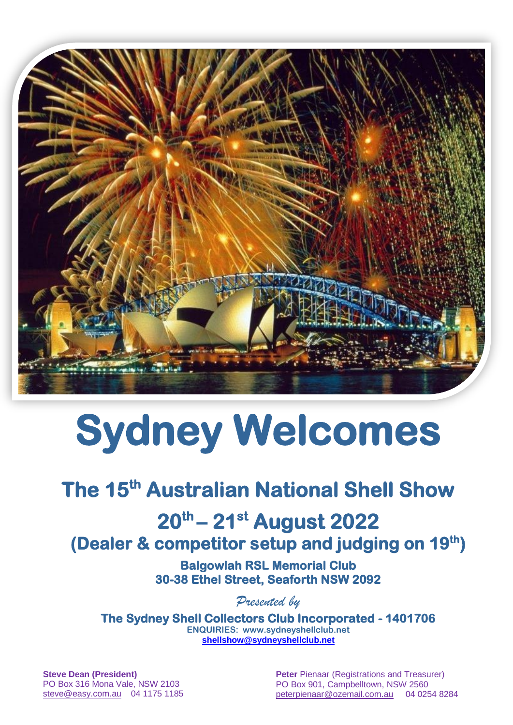

# **Sydney Welcomes**

# **The 15th Australian National Shell Show**

#### **20 th – 21 st August 2022 (Dealer & competitor setup and judging on 19th)**

**Balgowlah RSL Memorial Club 30-38 Ethel Street, Seaforth NSW 2092**

*Presented by*

**The Sydney Shell Collectors Club Incorporated - 1401706 ENQUIRIES: [www.sydneyshellclub.net](http://www.sydneyshellclub.net/) [shellshow@sydneyshellclub.net](mailto:shellshow@sydneyshellclub.net)**

**Steve Dean (President)** PO Box 316 Mona Vale, NSW 2103 [steve@easy.com.au](mailto:steve@easy.com.au) 04 1175 1185 **Peter Pienaar (Registrations and Treasurer)** PO Box 901, Campbelltown, NSW 2560 [peterpienaar@ozemail.com.au](mailto:peterpienaar@ozemail.com.au) 04 0254 8284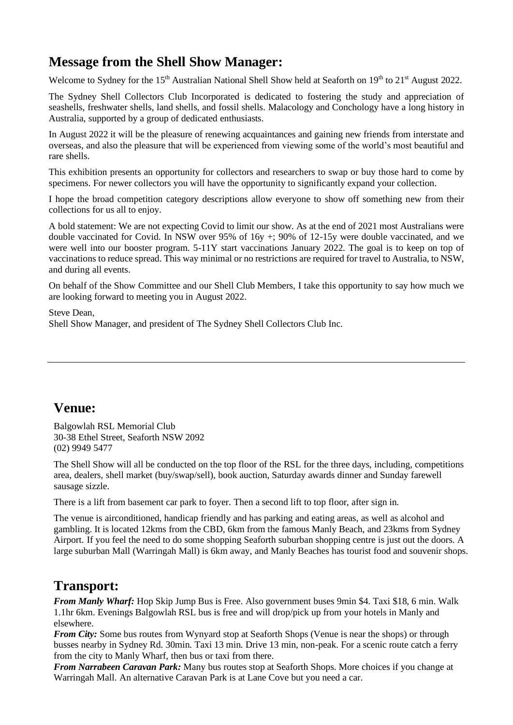#### **Message from the Shell Show Manager:**

Welcome to Sydney for the 15<sup>th</sup> Australian National Shell Show held at Seaforth on 19<sup>th</sup> to 21<sup>st</sup> August 2022.

The Sydney Shell Collectors Club Incorporated is dedicated to fostering the study and appreciation of seashells, freshwater shells, land shells, and fossil shells. Malacology and Conchology have a long history in Australia, supported by a group of dedicated enthusiasts.

In August 2022 it will be the pleasure of renewing acquaintances and gaining new friends from interstate and overseas, and also the pleasure that will be experienced from viewing some of the world's most beautiful and rare shells.

This exhibition presents an opportunity for collectors and researchers to swap or buy those hard to come by specimens. For newer collectors you will have the opportunity to significantly expand your collection.

I hope the broad competition category descriptions allow everyone to show off something new from their collections for us all to enjoy.

A bold statement: We are not expecting Covid to limit our show. As at the end of 2021 most Australians were double vaccinated for Covid. In NSW over 95% of 16y +; 90% of 12-15y were double vaccinated, and we were well into our booster program. 5-11Y start vaccinations January 2022. The goal is to keep on top of vaccinations to reduce spread. This way minimal or no restrictions are required for travel to Australia, to NSW, and during all events.

On behalf of the Show Committee and our Shell Club Members, I take this opportunity to say how much we are looking forward to meeting you in August 2022.

Steve Dean, Shell Show Manager, and president of The Sydney Shell Collectors Club Inc.

#### **Venue:**

Balgowlah RSL Memorial Club 30-38 Ethel Street, Seaforth NSW 2092 (02) 9949 5477

The Shell Show will all be conducted on the top floor of the RSL for the three days, including, competitions area, dealers, shell market (buy/swap/sell), book auction, Saturday awards dinner and Sunday farewell sausage sizzle.

There is a lift from basement car park to foyer. Then a second lift to top floor, after sign in.

The venue is airconditioned, handicap friendly and has parking and eating areas, as well as alcohol and gambling. It is located 12kms from the CBD, 6km from the famous Manly Beach, and 23kms from Sydney Airport. If you feel the need to do some shopping Seaforth suburban shopping centre is just out the doors. A large suburban Mall (Warringah Mall) is 6km away, and Manly Beaches has tourist food and souvenir shops.

#### **Transport:**

*From Manly Wharf:* Hop Skip Jump Bus is Free. Also government buses 9min \$4. Taxi \$18, 6 min. Walk 1.1hr 6km. Evenings Balgowlah RSL bus is free and will drop/pick up from your hotels in Manly and elsewhere.

*From City:* Some bus routes from Wynyard stop at Seaforth Shops (Venue is near the shops) or through busses nearby in Sydney Rd. 30min. Taxi 13 min. Drive 13 min, non-peak. For a scenic route catch a ferry from the city to Manly Wharf, then bus or taxi from there.

*From Narrabeen Caravan Park:* Many bus routes stop at Seaforth Shops. More choices if you change at Warringah Mall. An alternative Caravan Park is at Lane Cove but you need a car.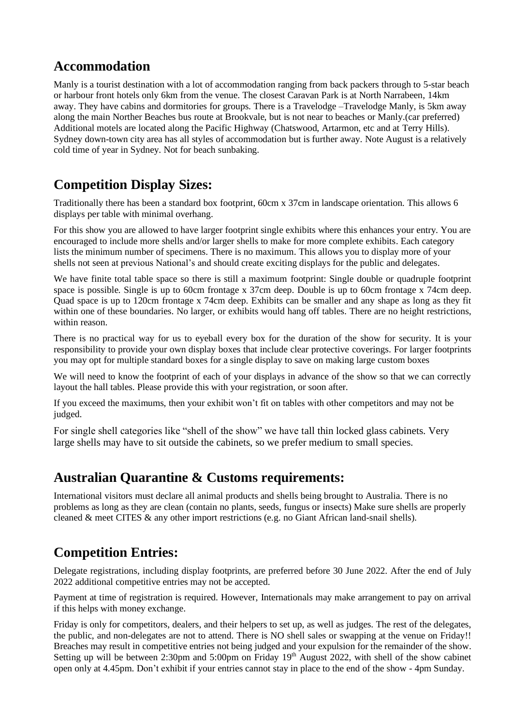#### **Accommodation**

Manly is a tourist destination with a lot of accommodation ranging from back packers through to 5-star beach or harbour front hotels only 6km from the venue. The closest Caravan Park is at North Narrabeen, 14km away. They have cabins and dormitories for groups. There is a Travelodge –Travelodge Manly, is 5km away along the main Norther Beaches bus route at Brookvale, but is not near to beaches or Manly.(car preferred) Additional motels are located along the Pacific Highway (Chatswood, Artarmon, etc and at Terry Hills). Sydney down-town city area has all styles of accommodation but is further away. Note August is a relatively cold time of year in Sydney. Not for beach sunbaking.

#### **Competition Display Sizes:**

Traditionally there has been a standard box footprint, 60cm x 37cm in landscape orientation. This allows 6 displays per table with minimal overhang.

For this show you are allowed to have larger footprint single exhibits where this enhances your entry. You are encouraged to include more shells and/or larger shells to make for more complete exhibits. Each category lists the minimum number of specimens. There is no maximum. This allows you to display more of your shells not seen at previous National's and should create exciting displays for the public and delegates.

We have finite total table space so there is still a maximum footprint: Single double or quadruple footprint space is possible. Single is up to 60cm frontage x 37cm deep. Double is up to 60cm frontage x 74cm deep. Quad space is up to 120cm frontage x 74cm deep. Exhibits can be smaller and any shape as long as they fit within one of these boundaries. No larger, or exhibits would hang off tables. There are no height restrictions, within reason.

There is no practical way for us to eyeball every box for the duration of the show for security. It is your responsibility to provide your own display boxes that include clear protective coverings. For larger footprints you may opt for multiple standard boxes for a single display to save on making large custom boxes

We will need to know the footprint of each of your displays in advance of the show so that we can correctly layout the hall tables. Please provide this with your registration, or soon after.

If you exceed the maximums, then your exhibit won't fit on tables with other competitors and may not be judged.

For single shell categories like "shell of the show" we have tall thin locked glass cabinets. Very large shells may have to sit outside the cabinets, so we prefer medium to small species.

#### **Australian Quarantine & Customs requirements:**

International visitors must declare all animal products and shells being brought to Australia. There is no problems as long as they are clean (contain no plants, seeds, fungus or insects) Make sure shells are properly cleaned & meet CITES & any other import restrictions (e.g. no Giant African land-snail shells).

#### **Competition Entries:**

Delegate registrations, including display footprints, are preferred before 30 June 2022. After the end of July 2022 additional competitive entries may not be accepted.

Payment at time of registration is required. However, Internationals may make arrangement to pay on arrival if this helps with money exchange.

Friday is only for competitors, dealers, and their helpers to set up, as well as judges. The rest of the delegates, the public, and non-delegates are not to attend. There is NO shell sales or swapping at the venue on Friday!! Breaches may result in competitive entries not being judged and your expulsion for the remainder of the show. Setting up will be between 2:30pm and 5:00pm on Friday  $19<sup>th</sup>$  August 2022, with shell of the show cabinet open only at 4.45pm. Don't exhibit if your entries cannot stay in place to the end of the show - 4pm Sunday.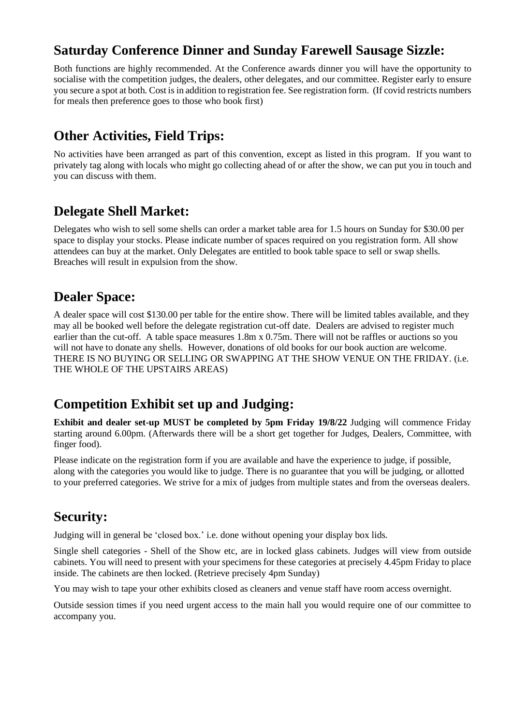#### **Saturday Conference Dinner and Sunday Farewell Sausage Sizzle:**

Both functions are highly recommended. At the Conference awards dinner you will have the opportunity to socialise with the competition judges, the dealers, other delegates, and our committee. Register early to ensure you secure a spot at both. Cost is in addition to registration fee. See registration form. (If covid restricts numbers for meals then preference goes to those who book first)

#### **Other Activities, Field Trips:**

No activities have been arranged as part of this convention, except as listed in this program. If you want to privately tag along with locals who might go collecting ahead of or after the show, we can put you in touch and you can discuss with them.

#### **Delegate Shell Market:**

Delegates who wish to sell some shells can order a market table area for 1.5 hours on Sunday for \$30.00 per space to display your stocks. Please indicate number of spaces required on you registration form. All show attendees can buy at the market. Only Delegates are entitled to book table space to sell or swap shells. Breaches will result in expulsion from the show.

#### **Dealer Space:**

A dealer space will cost \$130.00 per table for the entire show. There will be limited tables available, and they may all be booked well before the delegate registration cut-off date. Dealers are advised to register much earlier than the cut-off. A table space measures 1.8m x 0.75m. There will not be raffles or auctions so you will not have to donate any shells. However, donations of old books for our book auction are welcome. THERE IS NO BUYING OR SELLING OR SWAPPING AT THE SHOW VENUE ON THE FRIDAY. (i.e. THE WHOLE OF THE UPSTAIRS AREAS)

#### **Competition Exhibit set up and Judging:**

**Exhibit and dealer set-up MUST be completed by 5pm Friday 19/8/22** Judging will commence Friday starting around 6.00pm. (Afterwards there will be a short get together for Judges, Dealers, Committee, with finger food).

Please indicate on the registration form if you are available and have the experience to judge, if possible, along with the categories you would like to judge. There is no guarantee that you will be judging, or allotted to your preferred categories. We strive for a mix of judges from multiple states and from the overseas dealers.

#### **Security:**

Judging will in general be 'closed box.' i.e. done without opening your display box lids.

Single shell categories - Shell of the Show etc, are in locked glass cabinets. Judges will view from outside cabinets. You will need to present with your specimens for these categories at precisely 4.45pm Friday to place inside. The cabinets are then locked. (Retrieve precisely 4pm Sunday)

You may wish to tape your other exhibits closed as cleaners and venue staff have room access overnight.

Outside session times if you need urgent access to the main hall you would require one of our committee to accompany you.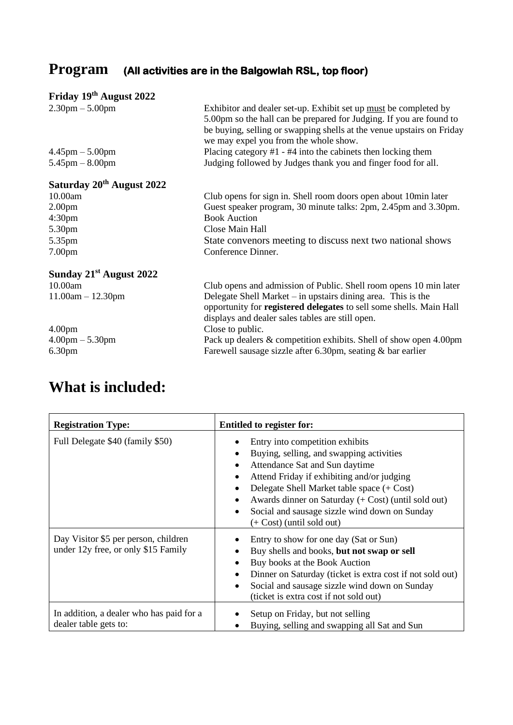## **Program (All activities are in the Balgowlah RSL, top floor)**

### **Friday 19th August 2022**

| $2.30 \text{pm} - 5.00 \text{pm}$     | Exhibitor and dealer set-up. Exhibit set up must be completed by<br>5.00pm so the hall can be prepared for Judging. If you are found to<br>be buying, selling or swapping shells at the venue upstairs on Friday<br>we may expel you from the whole show. |
|---------------------------------------|-----------------------------------------------------------------------------------------------------------------------------------------------------------------------------------------------------------------------------------------------------------|
| $4.45 \text{pm} - 5.00 \text{pm}$     | Placing category $#1 - #4$ into the cabinets then locking them                                                                                                                                                                                            |
| $5.45$ pm $-8.00$ pm                  | Judging followed by Judges thank you and finger food for all.                                                                                                                                                                                             |
| Saturday 20 <sup>th</sup> August 2022 |                                                                                                                                                                                                                                                           |
| 10.00am                               | Club opens for sign in. Shell room doors open about 10 min later                                                                                                                                                                                          |
| 2.00 <sub>pm</sub>                    | Guest speaker program, 30 minute talks: 2pm, 2.45pm and 3.30pm.                                                                                                                                                                                           |
| 4:30 <sub>pm</sub>                    | <b>Book Auction</b>                                                                                                                                                                                                                                       |
| 5.30pm                                | Close Main Hall                                                                                                                                                                                                                                           |
| 5.35pm                                | State convenors meeting to discuss next two national shows                                                                                                                                                                                                |
| 7.00 <sub>pm</sub>                    | Conference Dinner.                                                                                                                                                                                                                                        |
| Sunday 21 <sup>st</sup> August 2022   |                                                                                                                                                                                                                                                           |
| 10.00am                               | Club opens and admission of Public. Shell room opens 10 min later                                                                                                                                                                                         |
| $11.00am - 12.30pm$                   | Delegate Shell Market $-$ in upstairs dining area. This is the<br>opportunity for registered delegates to sell some shells. Main Hall<br>displays and dealer sales tables are still open.                                                                 |
| 4.00 <sub>pm</sub>                    | Close to public.                                                                                                                                                                                                                                          |
| $4.00 \text{pm} - 5.30 \text{pm}$     | Pack up dealers & competition exhibits. Shell of show open 4.00pm                                                                                                                                                                                         |
| 6.30 <sub>pm</sub>                    | Farewell sausage sizzle after 6.30pm, seating & bar earlier                                                                                                                                                                                               |
|                                       |                                                                                                                                                                                                                                                           |

# **What is included:**

| <b>Registration Type:</b>                                                   | <b>Entitled to register for:</b>                                                                                                                                                                                                                                                                                                                                     |
|-----------------------------------------------------------------------------|----------------------------------------------------------------------------------------------------------------------------------------------------------------------------------------------------------------------------------------------------------------------------------------------------------------------------------------------------------------------|
| Full Delegate \$40 (family \$50)                                            | Entry into competition exhibits<br>Buying, selling, and swapping activities<br>Attendance Sat and Sun daytime<br>Attend Friday if exhibiting and/or judging<br>Delegate Shell Market table space (+ Cost)<br>Awards dinner on Saturday (+ Cost) (until sold out)<br>Social and sausage sizzle wind down on Sunday<br>$\bullet$<br>$(+ \text{Cost})$ (until sold out) |
| Day Visitor \$5 per person, children<br>under 12y free, or only \$15 Family | Entry to show for one day (Sat or Sun)<br>Buy shells and books, but not swap or sell<br>Buy books at the Book Auction<br>Dinner on Saturday (ticket is extra cost if not sold out)<br>Social and sausage sizzle wind down on Sunday<br>(ticket is extra cost if not sold out)                                                                                        |
| In addition, a dealer who has paid for a<br>dealer table gets to:           | Setup on Friday, but not selling<br>Buying, selling and swapping all Sat and Sun                                                                                                                                                                                                                                                                                     |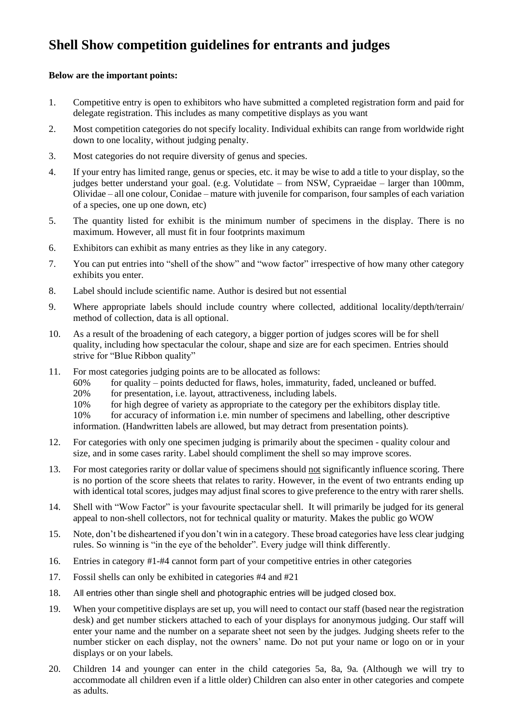#### **Shell Show competition guidelines for entrants and judges**

#### **Below are the important points:**

- 1. Competitive entry is open to exhibitors who have submitted a completed registration form and paid for delegate registration. This includes as many competitive displays as you want
- 2. Most competition categories do not specify locality. Individual exhibits can range from worldwide right down to one locality, without judging penalty.
- 3. Most categories do not require diversity of genus and species.
- 4. If your entry has limited range, genus or species, etc. it may be wise to add a title to your display, so the judges better understand your goal. (e.g. Volutidate – from NSW, Cypraeidae – larger than 100mm, Olividae – all one colour, Conidae – mature with juvenile for comparison, four samples of each variation of a species, one up one down, etc)
- 5. The quantity listed for exhibit is the minimum number of specimens in the display. There is no maximum. However, all must fit in four footprints maximum
- 6. Exhibitors can exhibit as many entries as they like in any category.
- 7. You can put entries into "shell of the show" and "wow factor" irrespective of how many other category exhibits you enter.
- 8. Label should include scientific name. Author is desired but not essential
- 9. Where appropriate labels should include country where collected, additional locality/depth/terrain/ method of collection, data is all optional.
- 10. As a result of the broadening of each category, a bigger portion of judges scores will be for shell quality, including how spectacular the colour, shape and size are for each specimen. Entries should strive for "Blue Ribbon quality"
- 11. For most categories judging points are to be allocated as follows:
	- 60% for quality points deducted for flaws, holes, immaturity, faded, uncleaned or buffed.
	- 20% for presentation, i.e. layout, attractiveness, including labels.
	- 10% for high degree of variety as appropriate to the category per the exhibitors display title.

10% for accuracy of information i.e. min number of specimens and labelling, other descriptive information. (Handwritten labels are allowed, but may detract from presentation points).

- 12. For categories with only one specimen judging is primarily about the specimen quality colour and size, and in some cases rarity. Label should compliment the shell so may improve scores.
- 13. For most categories rarity or dollar value of specimens should not significantly influence scoring. There is no portion of the score sheets that relates to rarity. However, in the event of two entrants ending up with identical total scores, judges may adjust final scores to give preference to the entry with rarer shells.
- 14. Shell with "Wow Factor" is your favourite spectacular shell. It will primarily be judged for its general appeal to non-shell collectors, not for technical quality or maturity. Makes the public go WOW
- 15. Note, don't be disheartened if you don't win in a category. These broad categories have less clear judging rules. So winning is "in the eye of the beholder". Every judge will think differently.
- 16. Entries in category #1-#4 cannot form part of your competitive entries in other categories
- 17. Fossil shells can only be exhibited in categories #4 and #21
- 18. All entries other than single shell and photographic entries will be judged closed box.
- 19. When your competitive displays are set up, you will need to contact our staff (based near the registration desk) and get number stickers attached to each of your displays for anonymous judging. Our staff will enter your name and the number on a separate sheet not seen by the judges. Judging sheets refer to the number sticker on each display, not the owners' name. Do not put your name or logo on or in your displays or on your labels.
- 20. Children 14 and younger can enter in the child categories 5a, 8a, 9a. (Although we will try to accommodate all children even if a little older) Children can also enter in other categories and compete as adults.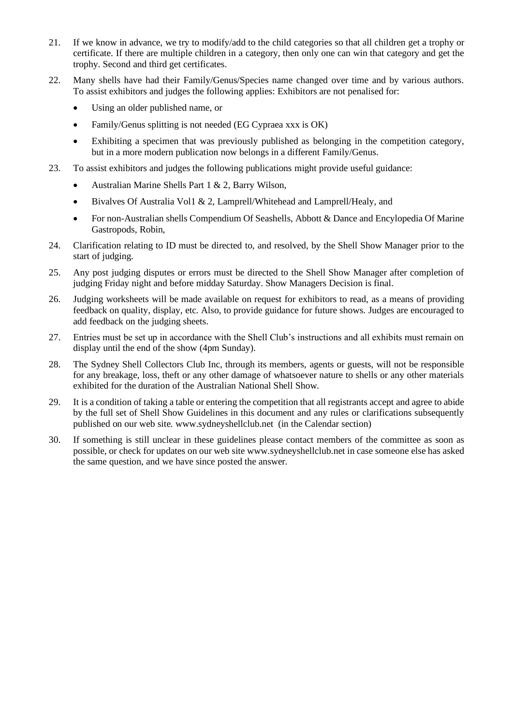- 21. If we know in advance, we try to modify/add to the child categories so that all children get a trophy or certificate. If there are multiple children in a category, then only one can win that category and get the trophy. Second and third get certificates.
- 22. Many shells have had their Family/Genus/Species name changed over time and by various authors. To assist exhibitors and judges the following applies: Exhibitors are not penalised for:
	- Using an older published name, or
	- Family/Genus splitting is not needed (EG Cypraea xxx is OK)
	- Exhibiting a specimen that was previously published as belonging in the competition category, but in a more modern publication now belongs in a different Family/Genus.
- 23. To assist exhibitors and judges the following publications might provide useful guidance:
	- Australian Marine Shells Part 1 & 2, Barry Wilson,
	- Bivalves Of Australia Vol1 & 2, Lamprell/Whitehead and Lamprell/Healy, and
	- For non-Australian shells Compendium Of Seashells, Abbott & Dance and Encylopedia Of Marine Gastropods, Robin,
- 24. Clarification relating to ID must be directed to, and resolved, by the Shell Show Manager prior to the start of judging.
- 25. Any post judging disputes or errors must be directed to the Shell Show Manager after completion of judging Friday night and before midday Saturday. Show Managers Decision is final.
- 26. Judging worksheets will be made available on request for exhibitors to read, as a means of providing feedback on quality, display, etc. Also, to provide guidance for future shows. Judges are encouraged to add feedback on the judging sheets.
- 27. Entries must be set up in accordance with the Shell Club's instructions and all exhibits must remain on display until the end of the show (4pm Sunday).
- 28. The Sydney Shell Collectors Club Inc, through its members, agents or guests, will not be responsible for any breakage, loss, theft or any other damage of whatsoever nature to shells or any other materials exhibited for the duration of the Australian National Shell Show.
- 29. It is a condition of taking a table or entering the competition that all registrants accept and agree to abide by the full set of Shell Show Guidelines in this document and any rules or clarifications subsequently published on our web site. www.sydneyshellclub.net (in the Calendar section)
- 30. If something is still unclear in these guidelines please contact members of the committee as soon as possible, or check for updates on our web sit[e www.sydneyshellclub.net](http://www.sydneyshellclub.net/) in case someone else has asked the same question, and we have since posted the answer.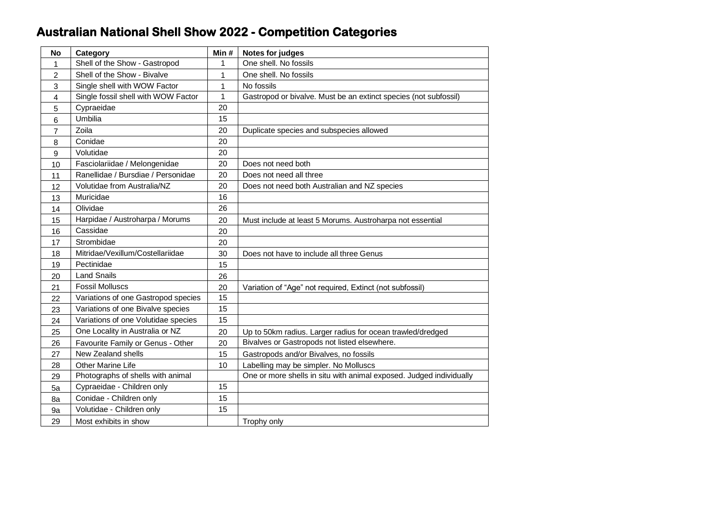## **Australian National Shell Show 2022 - Competition Categories**

| <b>No</b>      | Category                            | Min#         | Notes for judges                                                    |
|----------------|-------------------------------------|--------------|---------------------------------------------------------------------|
| 1              | Shell of the Show - Gastropod       | 1            | One shell. No fossils                                               |
| $\overline{2}$ | Shell of the Show - Bivalve         | $\mathbf{1}$ | One shell. No fossils                                               |
| 3              | Single shell with WOW Factor        | $\mathbf{1}$ | No fossils                                                          |
| 4              | Single fossil shell with WOW Factor | $\mathbf{1}$ | Gastropod or bivalve. Must be an extinct species (not subfossil)    |
| 5              | Cypraeidae                          | 20           |                                                                     |
| 6              | Umbilia                             | 15           |                                                                     |
| 7              | Zoila                               | 20           | Duplicate species and subspecies allowed                            |
| 8              | Conidae                             | 20           |                                                                     |
| 9              | Volutidae                           | 20           |                                                                     |
| 10             | Fasciolariidae / Melongenidae       | 20           | Does not need both                                                  |
| 11             | Ranellidae / Bursdiae / Personidae  | 20           | Does not need all three                                             |
| 12             | Volutidae from Australia/NZ         | 20           | Does not need both Australian and NZ species                        |
| 13             | Muricidae                           | 16           |                                                                     |
| 14             | Olividae                            | 26           |                                                                     |
| 15             | Harpidae / Austroharpa / Morums     | 20           | Must include at least 5 Morums. Austroharpa not essential           |
| 16             | Cassidae                            | 20           |                                                                     |
| 17             | Strombidae                          | 20           |                                                                     |
| 18             | Mitridae/Vexillum/Costellariidae    | 30           | Does not have to include all three Genus                            |
| 19             | Pectinidae                          | 15           |                                                                     |
| 20             | <b>Land Snails</b>                  | 26           |                                                                     |
| 21             | <b>Fossil Molluscs</b>              | 20           | Variation of "Age" not required, Extinct (not subfossil)            |
| 22             | Variations of one Gastropod species | 15           |                                                                     |
| 23             | Variations of one Bivalve species   | 15           |                                                                     |
| 24             | Variations of one Volutidae species | 15           |                                                                     |
| 25             | One Locality in Australia or NZ     | 20           | Up to 50km radius. Larger radius for ocean trawled/dredged          |
| 26             | Favourite Family or Genus - Other   | 20           | Bivalves or Gastropods not listed elsewhere.                        |
| 27             | New Zealand shells                  | 15           | Gastropods and/or Bivalves, no fossils                              |
| 28             | Other Marine Life                   | 10           | Labelling may be simpler. No Molluscs                               |
| 29             | Photographs of shells with animal   |              | One or more shells in situ with animal exposed. Judged individually |
| 5a             | Cypraeidae - Children only          | 15           |                                                                     |
| 8a             | Conidae - Children only             | 15           |                                                                     |
| 9a             | Volutidae - Children only           | 15           |                                                                     |
| 29             | Most exhibits in show               |              | Trophy only                                                         |